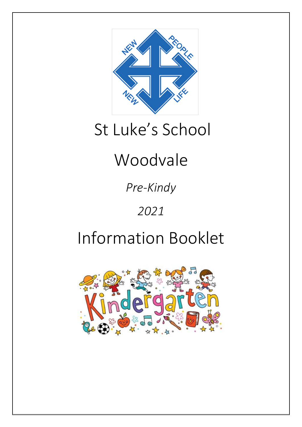

# St Luke's School

# Woodvale

*Pre-Kindy*

### *2021*

## Information Booklet

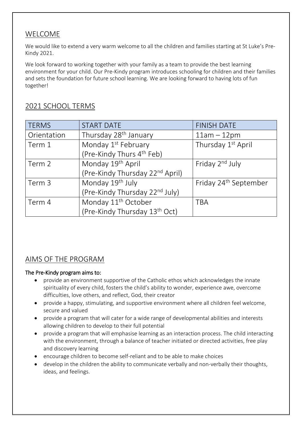#### WELCOME

We would like to extend a very warm welcome to all the children and families starting at St Luke's Pre-Kindy 2021.

We look forward to working together with your family as a team to provide the best learning environment for your child. Our Pre-Kindy program introduces schooling for children and their families and sets the foundation for future school learning. We are looking forward to having lots of fun together!

| <b>TERMS</b> | <b>START DATE</b>                           | <b>FINISH DATE</b>                |
|--------------|---------------------------------------------|-----------------------------------|
| Orientation  | Thursday 28 <sup>th</sup> January           | $11am - 12pm$                     |
| Term 1       | Monday 1 <sup>st</sup> February             | Thursday 1 <sup>st</sup> April    |
|              | (Pre-Kindy Thurs 4 <sup>th</sup> Feb)       |                                   |
| Term 2       | Monday 19 <sup>th</sup> April               | Friday 2 <sup>nd</sup> July       |
|              | (Pre-Kindy Thursday 22 <sup>nd</sup> April) |                                   |
| Term 3       | Monday 19 <sup>th</sup> July                | Friday 24 <sup>th</sup> September |
|              | (Pre-Kindy Thursday 22 <sup>nd</sup> July)  |                                   |
| Term 4       | Monday 11 <sup>th</sup> October             | <b>TBA</b>                        |
|              | (Pre-Kindy Thursday 13 <sup>th</sup> Oct)   |                                   |

#### 2021 SCHOOL TERMS

### AIMS OF THE PROGRAM

#### The Pre-Kindy program aims to:

- provide an environment supportive of the Catholic ethos which acknowledges the innate spirituality of every child, fosters the child's ability to wonder, experience awe, overcome difficulties, love others, and reflect, God, their creator
- provide a happy, stimulating, and supportive environment where all children feel welcome, secure and valued
- provide a program that will cater for a wide range of developmental abilities and interests allowing children to develop to their full potential
- provide a program that will emphasise learning as an interaction process. The child interacting with the environment, through a balance of teacher initiated or directed activities, free play and discovery learning
- encourage children to become self-reliant and to be able to make choices
- develop in the children the ability to communicate verbally and non-verbally their thoughts, ideas, and feelings.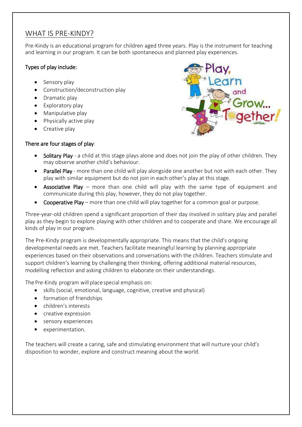#### WHAT IS PRE-KINDY?

Pre-Kindy is an educational program for children aged three years. Play is the instrument for teaching and learning in our program. It can be both spontaneous and planned play experiences.

#### Types of play include:

- Sensory play
- Construction/deconstruction play
- Dramatic play
- Exploratory play
- Manipulative play
- Physically active play
- Creative play

#### There are four stages of play:

- Solitary Play a child at this stage plays alone and does not join the play of other children. They may observe another child's behaviour.
- Parallel Play more than one child will play alongside one another but not with each other. They play with similar equipment but do not join in each other's play at this stage.
- Associative Play more than one child will play with the same type of equipment and communicate during this play, however, they do not play together.
- Cooperative Play more than one child will play together for a common goal or purpose.

Three-year-old children spend a significant proportion of their day involved in solitary play and parallel play as they begin to explore playing with other children and to cooperate and share. We encourage all kinds of play in our program.

The Pre-Kindy program is developmentally appropriate. This means that the child's ongoing developmental needs are met. Teachers facilitate meaningful learning by planning appropriate experiences based on their observations and conversations with the children. Teachers stimulate and support children's learning by challenging their thinking, offering additional material resources, modelling reflection and asking children to elaborate on their understandings.

The Pre-Kindy program will placespecial emphasis on:

- skills (social, emotional, language, cognitive, creative and physical)
- **•** formation of friendships
- children's interests
- creative expression
- sensory experiences
- experimentation.

The teachers will create a caring, safe and stimulating environment that will nurture your child's disposition to wonder, explore and construct meaning about the world.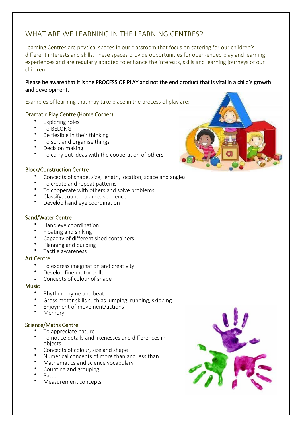#### WHAT ARE WE LEARNING IN THE LEARNING CENTRES?

Learning Centres are physical spaces in our classroom that focus on catering for our children's different interests and skills. These spaces provide opportunities for open-ended play and learning experiences and are regularly adapted to enhance the interests, skills and learning journeys of our children.

#### Please be aware that it is the PROCESS OF PLAY and not the end product that is vital in a child's growth and development.

Examples of learning that may take place in the process of play are:

#### Dramatic Play Centre (Home Corner)

- Exploring roles
- To BELONG
- Be flexible in their thinking
- To sort and organise things
- Decision making
- To carry out ideas with the cooperation of others

#### Block/Construction Centre

- Concepts of shape, size, length, location, space and angles
- To create and repeat patterns
- To cooperate with others and solve problems
- Classify, count, balance, sequence
- Develop hand eye coordination

#### Sand/Water Centre

- Hand eye coordination
- Floating and sinking
- Capacity of different sized containers
- Planning and building
- Tactile awareness

#### Art Centre

- To express imagination and creativity
- Develop fine motor skills
- Concepts of colour of shape

#### **Music**

- Rhythm, rhyme and beat
- Gross motor skills such as jumping, running, skipping
- Enjoyment of movement/actions
- Memory

#### Science/Maths Centre

- To appreciate nature
- To notice details and likenesses and differences in objects
- Concepts of colour, size and shape
- Numerical concepts of more than and less than
- Mathematics and science vocabulary
- Counting and grouping
- Pattern
- Measurement concepts



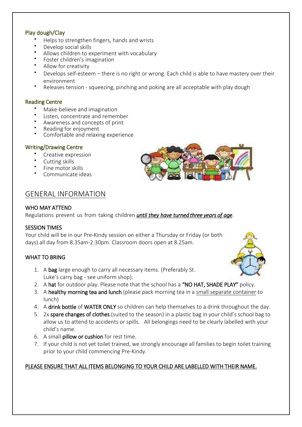#### Play dough/Clay

- Helps to strengthen fingers, hands and wrists
- Develop social skills
- Allows children to experiment with vocabulary
- Foster children's imagination
- Allow for creativity
- Develops self-esteem there is no right or wrong. Each child is able to have mastery over their environment
- Releases tension squeezing, pinching and poking are all acceptable with play dough

#### Reading Centre

- Make-believe and imagination
- $\bullet$ Listen, concentrate and remember
- Awareness and concepts of print
- Reading for enjoyment
- Comfortable and relaxing experience

#### Writing/Drawing Centre

- Creative expression
- Cutting skills
- Fine motor skills
- Communicate ideas

#### GENERAL INFORMATION

#### WHO MAY ATTEND

Regulations prevent us from taking children *until they have turned three years of age*.

#### SESSION TIMES

Your child will be in our Pre-Kindy session on either a Thursday or Friday (or both days) all day from 8.35am-2:30pm. Classroom doors open at 8.25am.

#### WHAT TO BRING

- 1. A bag large enough to carry all necessary items. (Preferably St. Luke's carry bag - see uniform shop).
- 2. A hat for outdoor play. Please note that the school has a "NO HAT, SHADE PLAY" policy.
- 3. A healthy morning tea and lunch (please pack morning tea in a small separate container to lunch)
- 4. A drink bottle of WATER ONLY so children can help themselves to a drink throughout the day.
- 5. 2x spare changes of clothes (suited to the season) in a plastic bag in your child's school bag to allow us to attend to accidents or spills. All belongings need to be clearly labelled with your child's name.
- 6. A small pillow or cushion for rest time.
- 7. If your child is not yet toilet trained, we strongly encourage all families to begin toilet training prior to your child commencing Pre-Kindy.

#### PLEASE ENSURE THAT ALL ITEMS BELONGING TO YOUR CHILD ARE LABELLED WITH THEIR NAME.



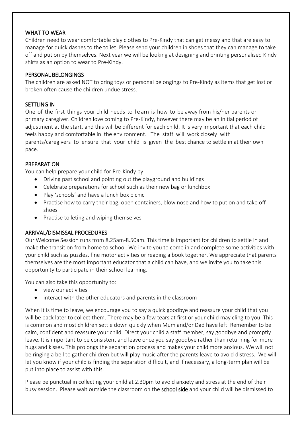#### WHAT TO WEAR

Children need to wear comfortable play clothes to Pre-Kindy that can get messy and that are easy to manage for quick dashes to the toilet. Please send your children in shoes that they can manage to take off and put on by themselves. Next year we will be looking at designing and printing personalised Kindy shirts as an option to wear to Pre-Kindy.

#### PERSONAL BELONGINGS

The children are asked NOT to bring toys or personal belongings to Pre-Kindy as items that get lost or broken often cause the children undue stress.

#### SETTLING IN

One of the first things your child needs to l e arn is how to be away from his/her parents or primary caregiver. Children love coming to Pre-Kindy, however there may be an initial period of adjustment at the start, and this will be different for each child. It is very important that each child feels happy and comfortable in the environment. The staff will work closely with parents/caregivers to ensure that your child is given the best chance to settle in at their own pace.

#### PREPARATION

You can help prepare your child for Pre-Kindy by:

- Driving past school and pointing out the playground and buildings
- Celebrate preparations for school such as their new bag or lunchbox
- Play 'schools' and have a lunch box picnic
- Practise how to carry their bag, open containers, blow nose and how to put on and take off shoes
- Practise toileting and wiping themselves

#### ARRIVAL/DISMISSAL PROCEDURES

Our Welcome Session runs from 8.25am-8.50am. This time is important for children to settle in and make the transition from home to school. We invite you to come in and complete some activities with your child such as puzzles, fine motor activities or reading a book together. We appreciate that parents themselves are the most important educator that a child can have, and we invite you to take this opportunity to participate in their school learning.

You can also take this opportunity to:

- view our activities
- interact with the other educators and parents in the classroom

When it is time to leave, we encourage you to say a quick goodbye and reassure your child that you will be back later to collect them. There may be a few tears at first or your child may cling to you. This is common and most children settle down quickly when Mum and/or Dad have left. Remember to be calm, confident and reassure your child. Direct your child a staff member, say goodbye and promptly leave. It is important to be consistent and leave once you say goodbye rather than returning for more hugs and kisses. This prolongs the separation process and makes your child more anxious. We will not be ringing a bell to gather children but will play music after the parents leave to avoid distress. We will let you know if your child is finding the separation difficult, and if necessary, a long-term plan will be put into place to assist with this.

Please be punctual in collecting your child at 2.30pm to avoid anxiety and stress at the end of their busy session. Please wait outside the classroom on the **school side** and your child will be dismissed to